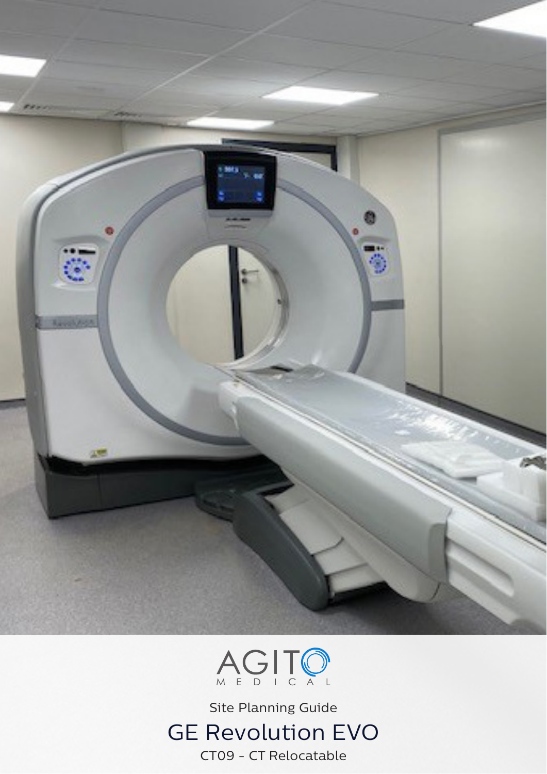



Site Planning Guide GE Revolution EVO CT09 - CT Relocatable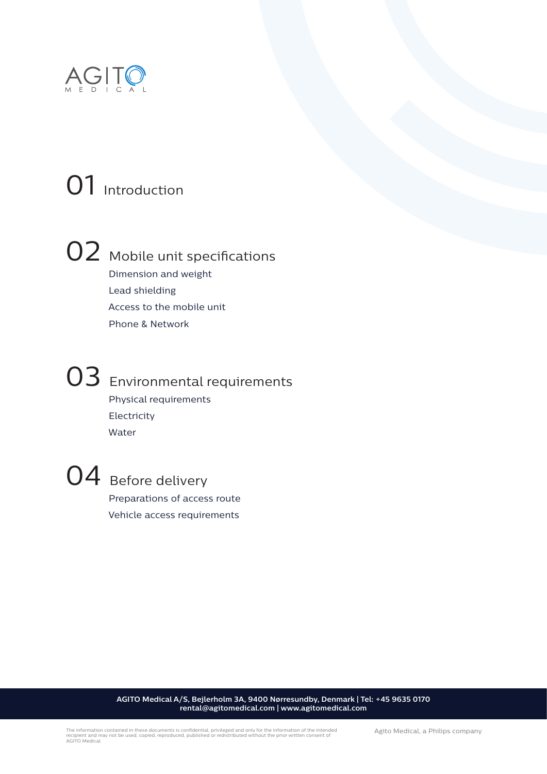

## 01 Introduction



# 02 Mobile unit specifications

 Dimension and weight Lead shielding Access to the mobile unit Phone & Network



### 03 Environmental requirements Physical requirements Electricity

Water



04 Before delivery Preparations of access route Vehicle access requirements

> **AGITO Medical A/S, Bejlerholm 3A, 9400 Nørresundby, Denmark | Tel: +45 9635 0170 rental@agitomedical.com | www.agitomedical.com**

Agito Medical, a Philips company The information contained in these documents is confidential, privileged and only for the information of the intended recipient and may not be used, copied, reproduced, published or redistributed without the prior written consent of AGITO Medical.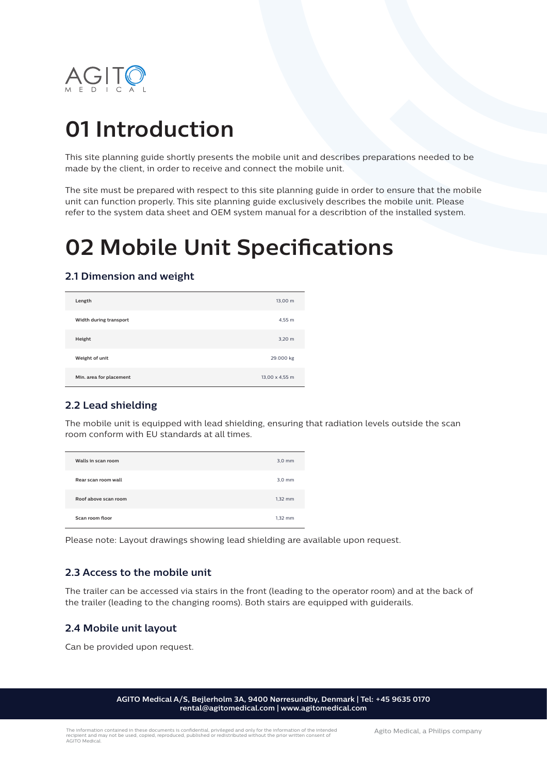

### **01 Introduction**

This site planning guide shortly presents the mobile unit and describes preparations needed to be made by the client, in order to receive and connect the mobile unit.

The site must be prepared with respect to this site planning guide in order to ensure that the mobile unit can function properly. This site planning guide exclusively describes the mobile unit. Please refer to the system data sheet and OEM system manual for a describtion of the installed system.

### **02 Mobile Unit Specifications**

### **2.1 Dimension and weight**

| Length                  | 13,00 m        |
|-------------------------|----------------|
| Width during transport  | 4,55 m         |
| Height                  | 3,20 m         |
| Weight of unit          | 29.000 kg      |
| Min. area for placement | 13,00 x 4,55 m |

### **2.2 Lead shielding**

The mobile unit is equipped with lead shielding, ensuring that radiation levels outside the scan room conform with EU standards at all times.

| Walls in scan room   | $3,0$ mm  |
|----------------------|-----------|
| Rear scan room wall  | $3,0$ mm  |
| Roof above scan room | $1,32$ mm |
| Scan room floor      | $1,32$ mm |

Please note: Layout drawings showing lead shielding are available upon request.

### **2.3 Access to the mobile unit**

The trailer can be accessed via stairs in the front (leading to the operator room) and at the back of the trailer (leading to the changing rooms). Both stairs are equipped with guiderails.

### **2.4 Mobile unit layout**

Can be provided upon request.

**AGITO Medical A/S, Bejlerholm 3A, 9400 Nørresundby, Denmark | Tel: +45 9635 0170 rental@agitomedical.com | www.agitomedical.com**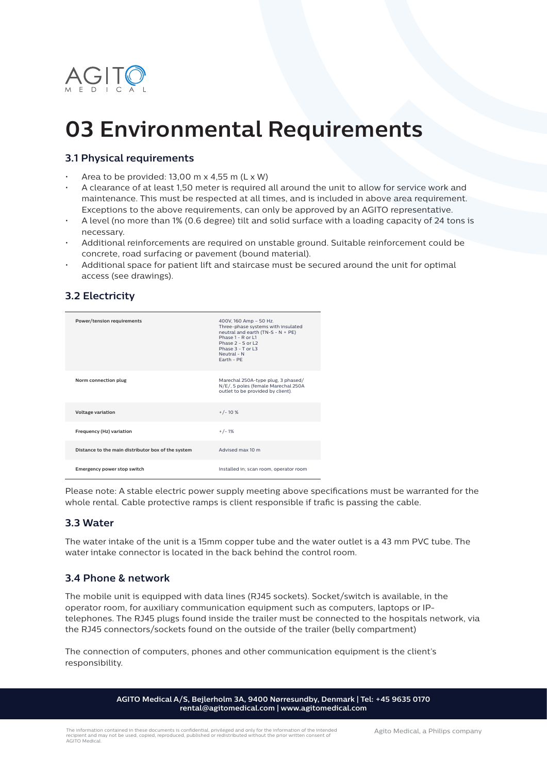

### **03 Environmental Requirements**

### **3.1 Physical requirements**

- Area to be provided:  $13,00 \text{ m} \times 4,55 \text{ m}$  (L  $\times$  W)
- A clearance of at least 1,50 meter is required all around the unit to allow for service work and maintenance. This must be respected at all times, and is included in above area requirement. Exceptions to the above requirements, can only be approved by an AGITO representative.
- A level (no more than 1% (0.6 degree) tilt and solid surface with a loading capacity of 24 tons is necessary.
- Additional reinforcements are required on unstable ground. Suitable reinforcement could be concrete, road surfacing or pavement (bound material).
- Additional space for patient lift and staircase must be secured around the unit for optimal access (see drawings).

| Power/tension requirements                         | 400V, 160 Amp - 50 Hz.<br>Three-phase systems with insulated<br>neutral and earth (TN-S - $N + PE$ )<br>Phase 1 - R or L1<br>Phase $2 - S$ or $12$<br>Phase $3 - T$ or $13$<br>Neutral - N<br>Farth - PF |
|----------------------------------------------------|----------------------------------------------------------------------------------------------------------------------------------------------------------------------------------------------------------|
| Norm connection plug                               | Marechal 250A-type plug, 3 phased/<br>N/E/, 5 poles (female Marechal 250A<br>outlet to be provided by client).                                                                                           |
| Voltage variation                                  | $+/-10%$                                                                                                                                                                                                 |
| Frequency (Hz) variation                           | $+/-1%$                                                                                                                                                                                                  |
| Distance to the main distributor box of the system | Advised max 10 m                                                                                                                                                                                         |
| Emergency power stop switch                        | Installed in; scan room, operator room                                                                                                                                                                   |

**3.2 Electricity**

Please note: A stable electric power supply meeting above specifications must be warranted for the whole rental. Cable protective ramps is client responsible if trafic is passing the cable.

#### **3.3 Water**

The water intake of the unit is a 15mm copper tube and the water outlet is a 43 mm PVC tube. The water intake connector is located in the back behind the control room.

#### **3.4 Phone & network**

The mobile unit is equipped with data lines (RJ45 sockets). Socket/switch is available, in the operator room, for auxiliary communication equipment such as computers, laptops or IPtelephones. The RJ45 plugs found inside the trailer must be connected to the hospitals network, via the RJ45 connectors/sockets found on the outside of the trailer (belly compartment)

The connection of computers, phones and other communication equipment is the client's responsibility.

> **AGITO Medical A/S, Bejlerholm 3A, 9400 Nørresundby, Denmark | Tel: +45 9635 0170 rental@agitomedical.com | www.agitomedical.com**

Agito Medical, a Philips company The information contained in these documents is confidential, privileged and only for the information of the intended recipient and may not be used, copied, reproduced, published or redistributed without the prior written consent of AGITO Medical.